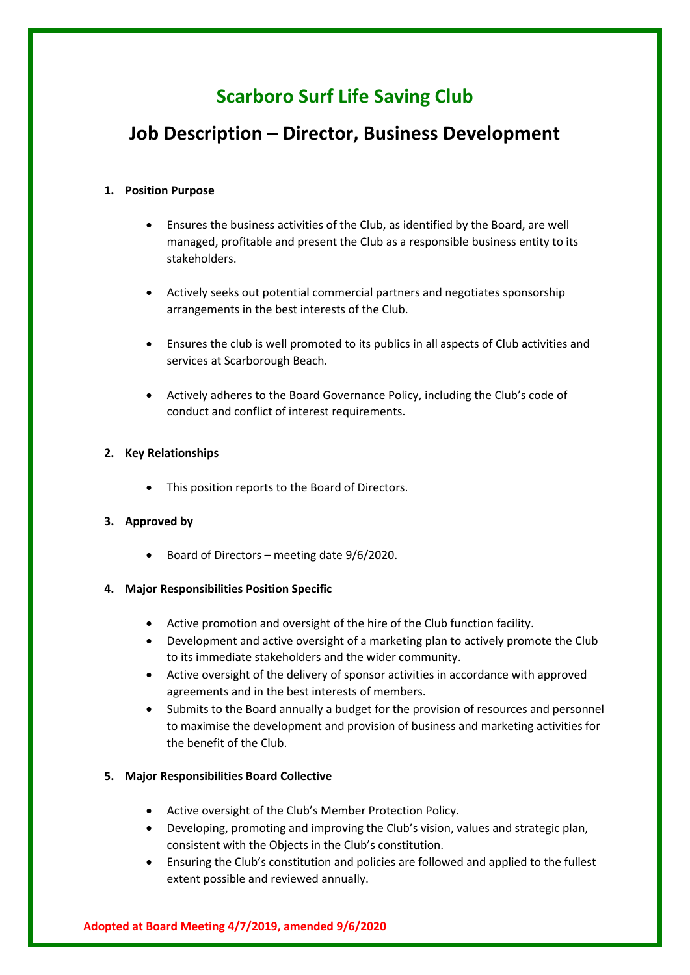# **Scarboro Surf Life Saving Club**

# **Job Description – Director, Business Development**

### **1. Position Purpose**

- Ensures the business activities of the Club, as identified by the Board, are well managed, profitable and present the Club as a responsible business entity to its stakeholders.
- Actively seeks out potential commercial partners and negotiates sponsorship arrangements in the best interests of the Club.
- Ensures the club is well promoted to its publics in all aspects of Club activities and services at Scarborough Beach.
- Actively adheres to the Board Governance Policy, including the Club's code of conduct and conflict of interest requirements.

## **2. Key Relationships**

• This position reports to the Board of Directors.

# **3. Approved by**

- Board of Directors meeting date 9/6/2020.
- **4. Major Responsibilities Position Specific**
	- Active promotion and oversight of the hire of the Club function facility.
	- Development and active oversight of a marketing plan to actively promote the Club to its immediate stakeholders and the wider community.
	- Active oversight of the delivery of sponsor activities in accordance with approved agreements and in the best interests of members.
	- Submits to the Board annually a budget for the provision of resources and personnel to maximise the development and provision of business and marketing activities for the benefit of the Club.

# **5. Major Responsibilities Board Collective**

- Active oversight of the Club's Member Protection Policy.
- Developing, promoting and improving the Club's vision, values and strategic plan, consistent with the Objects in the Club's constitution.
- Ensuring the Club's constitution and policies are followed and applied to the fullest extent possible and reviewed annually.

# **Adopted at Board Meeting 4/7/2019, amended 9/6/2020**